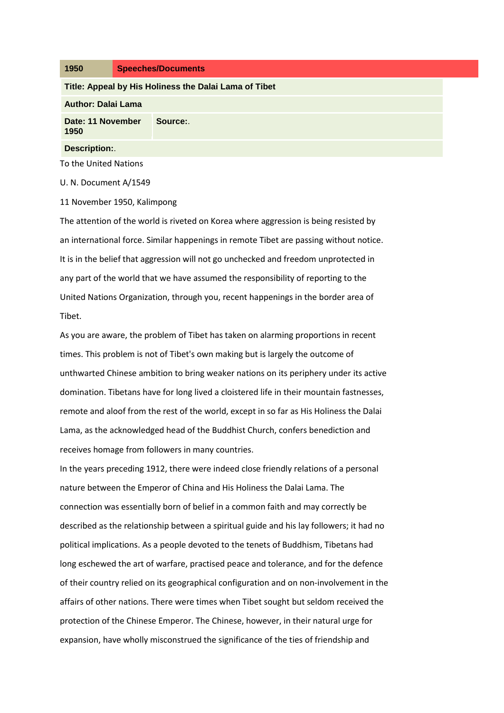| 1950                                                  | <b>Speeches/Documents</b> |         |  |
|-------------------------------------------------------|---------------------------|---------|--|
| Title: Appeal by His Holiness the Dalai Lama of Tibet |                           |         |  |
| <b>Author: Dalai Lama</b>                             |                           |         |  |
| Date: 11 November<br>1950                             |                           | Source: |  |
| <b>Description:.</b>                                  |                           |         |  |

To the United Nations

U. N. Document A/1549

11 November 1950, Kalimpong

The attention of the world is riveted on Korea where aggression is being resisted by an international force. Similar happenings in remote Tibet are passing without notice. It is in the belief that aggression will not go unchecked and freedom unprotected in any part of the world that we have assumed the responsibility of reporting to the United Nations Organization, through you, recent happenings in the border area of Tibet.

As you are aware, the problem of Tibet has taken on alarming proportions in recent times. This problem is not of Tibet's own making but is largely the outcome of unthwarted Chinese ambition to bring weaker nations on its periphery under its active domination. Tibetans have for long lived a cloistered life in their mountain fastnesses, remote and aloof from the rest of the world, except in so far as His Holiness the Dalai Lama, as the acknowledged head of the Buddhist Church, confers benediction and receives homage from followers in many countries.

In the years preceding 1912, there were indeed close friendly relations of a personal nature between the Emperor of China and His Holiness the Dalai Lama. The connection was essentially born of belief in a common faith and may correctly be described as the relationship between a spiritual guide and his lay followers; it had no political implications. As a people devoted to the tenets of Buddhism, Tibetans had long eschewed the art of warfare, practised peace and tolerance, and for the defence of their country relied on its geographical configuration and on non-involvement in the affairs of other nations. There were times when Tibet sought but seldom received the protection of the Chinese Emperor. The Chinese, however, in their natural urge for expansion, have wholly misconstrued the significance of the ties of friendship and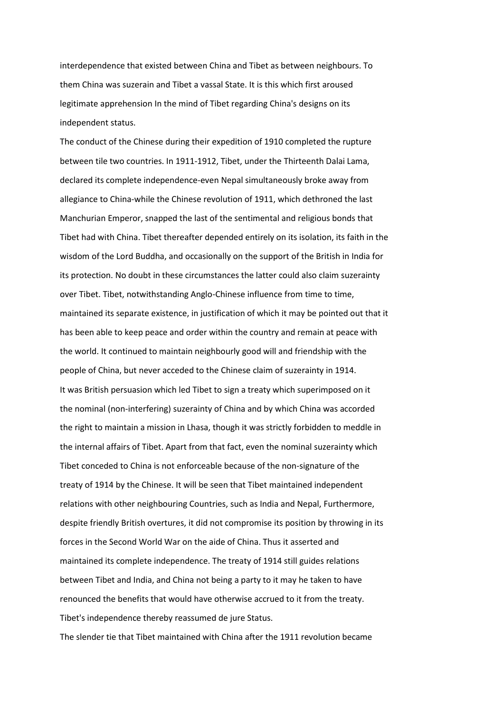interdependence that existed between China and Tibet as between neighbours. To them China was suzerain and Tibet a vassal State. It is this which first aroused legitimate apprehension In the mind of Tibet regarding China's designs on its independent status.

The conduct of the Chinese during their expedition of 1910 completed the rupture between tile two countries. In 1911-1912, Tibet, under the Thirteenth Dalai Lama, declared its complete independence-even Nepal simultaneously broke away from allegiance to China-while the Chinese revolution of 1911, which dethroned the last Manchurian Emperor, snapped the last of the sentimental and religious bonds that Tibet had with China. Tibet thereafter depended entirely on its isolation, its faith in the wisdom of the Lord Buddha, and occasionally on the support of the British in India for its protection. No doubt in these circumstances the latter could also claim suzerainty over Tibet. Tibet, notwithstanding Anglo-Chinese influence from time to time, maintained its separate existence, in justification of which it may be pointed out that it has been able to keep peace and order within the country and remain at peace with the world. It continued to maintain neighbourly good will and friendship with the people of China, but never acceded to the Chinese claim of suzerainty in 1914. It was British persuasion which led Tibet to sign a treaty which superimposed on it the nominal (non-interfering) suzerainty of China and by which China was accorded the right to maintain a mission in Lhasa, though it was strictly forbidden to meddle in the internal affairs of Tibet. Apart from that fact, even the nominal suzerainty which Tibet conceded to China is not enforceable because of the non-signature of the treaty of 1914 by the Chinese. It will be seen that Tibet maintained independent relations with other neighbouring Countries, such as India and Nepal, Furthermore, despite friendly British overtures, it did not compromise its position by throwing in its forces in the Second World War on the aide of China. Thus it asserted and maintained its complete independence. The treaty of 1914 still guides relations between Tibet and India, and China not being a party to it may he taken to have renounced the benefits that would have otherwise accrued to it from the treaty. Tibet's independence thereby reassumed de jure Status.

The slender tie that Tibet maintained with China after the 1911 revolution became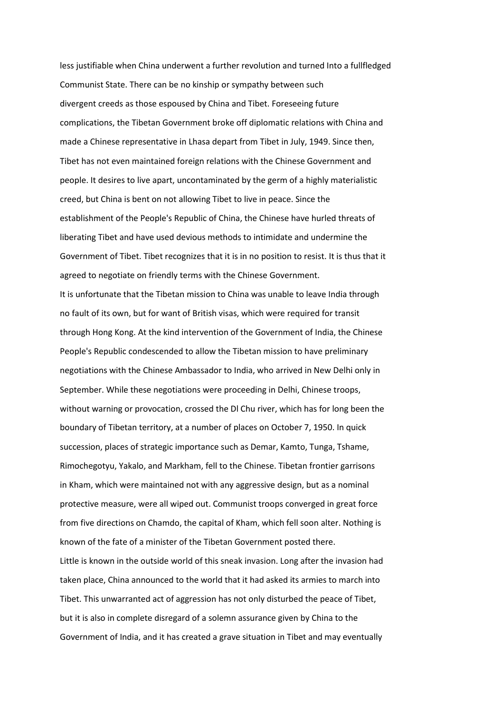less justifiable when China underwent a further revolution and turned Into a fullfledged Communist State. There can be no kinship or sympathy between such divergent creeds as those espoused by China and Tibet. Foreseeing future complications, the Tibetan Government broke off diplomatic relations with China and made a Chinese representative in Lhasa depart from Tibet in July, 1949. Since then, Tibet has not even maintained foreign relations with the Chinese Government and people. It desires to live apart, uncontaminated by the germ of a highly materialistic creed, but China is bent on not allowing Tibet to live in peace. Since the establishment of the People's Republic of China, the Chinese have hurled threats of liberating Tibet and have used devious methods to intimidate and undermine the Government of Tibet. Tibet recognizes that it is in no position to resist. It is thus that it agreed to negotiate on friendly terms with the Chinese Government. It is unfortunate that the Tibetan mission to China was unable to leave India through no fault of its own, but for want of British visas, which were required for transit through Hong Kong. At the kind intervention of the Government of India, the Chinese People's Republic condescended to allow the Tibetan mission to have preliminary negotiations with the Chinese Ambassador to India, who arrived in New Delhi only in September. While these negotiations were proceeding in Delhi, Chinese troops, without warning or provocation, crossed the Dl Chu river, which has for long been the boundary of Tibetan territory, at a number of places on October 7, 1950. In quick succession, places of strategic importance such as Demar, Kamto, Tunga, Tshame, Rimochegotyu, Yakalo, and Markham, fell to the Chinese. Tibetan frontier garrisons in Kham, which were maintained not with any aggressive design, but as a nominal protective measure, were all wiped out. Communist troops converged in great force from five directions on Chamdo, the capital of Kham, which fell soon alter. Nothing is known of the fate of a minister of the Tibetan Government posted there. Little is known in the outside world of this sneak invasion. Long after the invasion had taken place, China announced to the world that it had asked its armies to march into Tibet. This unwarranted act of aggression has not only disturbed the peace of Tibet, but it is also in complete disregard of a solemn assurance given by China to the Government of India, and it has created a grave situation in Tibet and may eventually